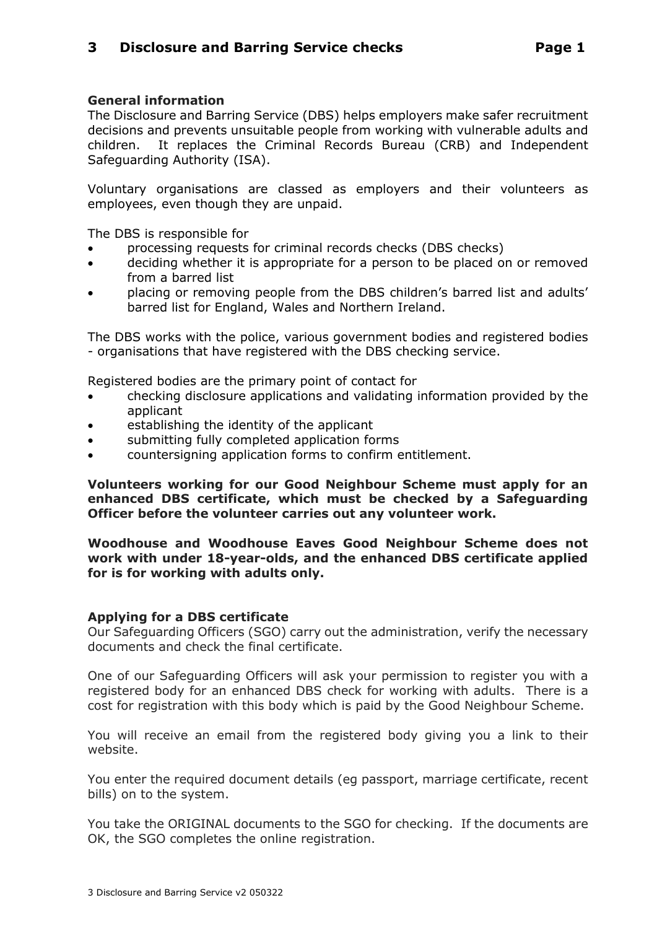## **General information**

The Disclosure and Barring Service (DBS) helps employers make safer recruitment decisions and prevents unsuitable people from working with vulnerable adults and children. It replaces the Criminal Records Bureau (CRB) and Independent Safeguarding Authority (ISA).

Voluntary organisations are classed as employers and their volunteers as employees, even though they are unpaid.

The DBS is responsible for

- processing requests for criminal records checks (DBS checks)
- deciding whether it is appropriate for a person to be placed on or removed from a barred list
- placing or removing people from the DBS children's barred list and adults' barred list for England, Wales and Northern Ireland.

The DBS works with the police, various government bodies and registered bodies - organisations that have registered with the DBS checking service.

Registered bodies are the primary point of contact for

- checking disclosure applications and validating information provided by the applicant
- establishing the identity of the applicant
- submitting fully completed application forms
- countersigning application forms to confirm entitlement.

**Volunteers working for our Good Neighbour Scheme must apply for an enhanced DBS certificate, which must be checked by a Safeguarding Officer before the volunteer carries out any volunteer work.**

**Woodhouse and Woodhouse Eaves Good Neighbour Scheme does not work with under 18-year-olds, and the enhanced DBS certificate applied for is for working with adults only.**

## **Applying for a DBS certificate**

Our Safeguarding Officers (SGO) carry out the administration, verify the necessary documents and check the final certificate.

One of our Safeguarding Officers will ask your permission to register you with a registered body for an enhanced DBS check for working with adults. There is a cost for registration with this body which is paid by the Good Neighbour Scheme.

You will receive an email from the registered body giving you a link to their website.

You enter the required document details (eg passport, marriage certificate, recent bills) on to the system.

You take the ORIGINAL documents to the SGO for checking. If the documents are OK, the SGO completes the online registration.